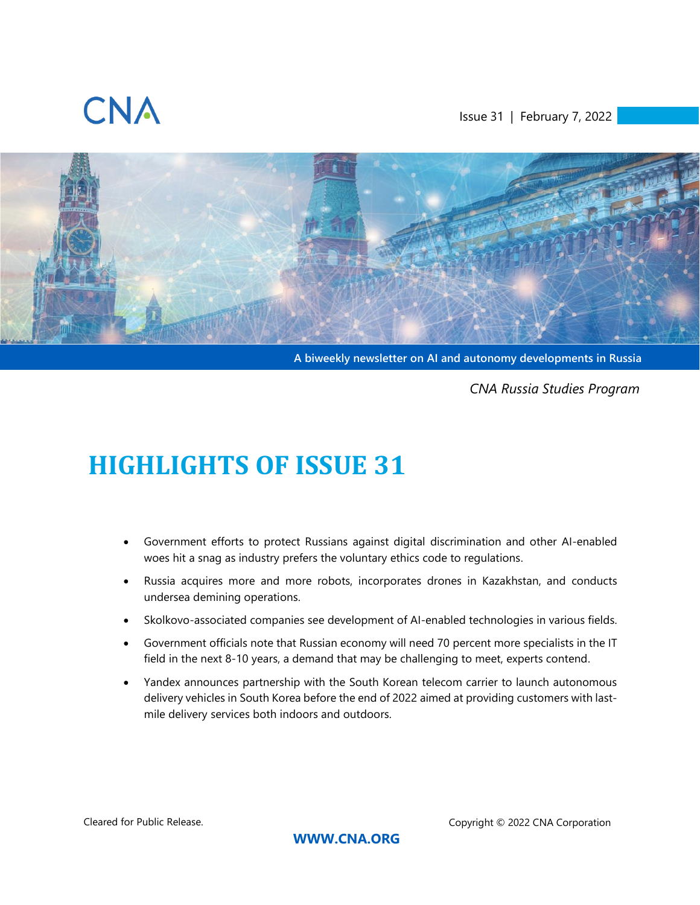

<span id="page-0-0"></span>Issue 31 | February 7, 2022



**A biweekly newsletter on AI and autonomy developments in Russia**

*CNA Russia Studies Program*

# <span id="page-0-1"></span>**HIGHLIGHTS OF ISSUE 31**

- Government efforts to protect Russians against digital discrimination and other AI-enabled woes hit a snag as industry prefers the voluntary ethics code to regulations.
- Russia acquires more and more robots, incorporates drones in Kazakhstan, and conducts undersea demining operations.
- Skolkovo-associated companies see development of AI-enabled technologies in various fields.
- Government officials note that Russian economy will need 70 percent more specialists in the IT field in the next 8-10 years, a demand that may be challenging to meet, experts contend.
- Yandex announces partnership with the South Korean telecom carrier to launch autonomous delivery vehicles in South Korea before the end of 2022 aimed at providing customers with lastmile delivery services both indoors and outdoors.

Cleared for Public Release. Copyright © 2022 CNA Corporation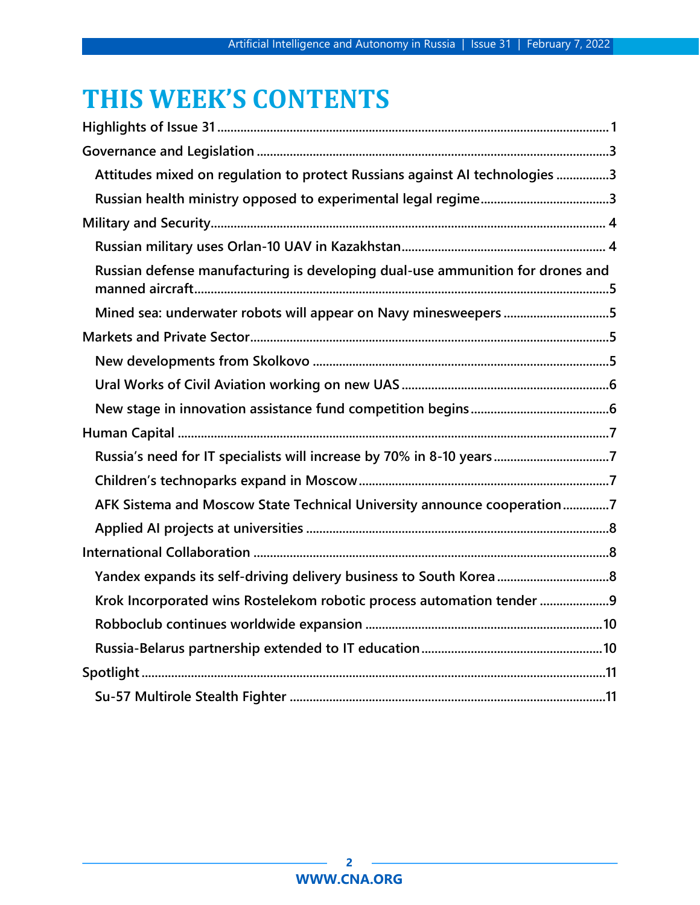# **THIS WEEK'S CONTENTS**

| Attitudes mixed on regulation to protect Russians against AI technologies 3    |  |
|--------------------------------------------------------------------------------|--|
|                                                                                |  |
|                                                                                |  |
|                                                                                |  |
| Russian defense manufacturing is developing dual-use ammunition for drones and |  |
| Mined sea: underwater robots will appear on Navy minesweepers 5                |  |
|                                                                                |  |
|                                                                                |  |
|                                                                                |  |
|                                                                                |  |
|                                                                                |  |
| Russia's need for IT specialists will increase by 70% in 8-10 years7           |  |
|                                                                                |  |
| AFK Sistema and Moscow State Technical University announce cooperation7        |  |
|                                                                                |  |
|                                                                                |  |
|                                                                                |  |
| Krok Incorporated wins Rostelekom robotic process automation tender 9          |  |
|                                                                                |  |
|                                                                                |  |
|                                                                                |  |
|                                                                                |  |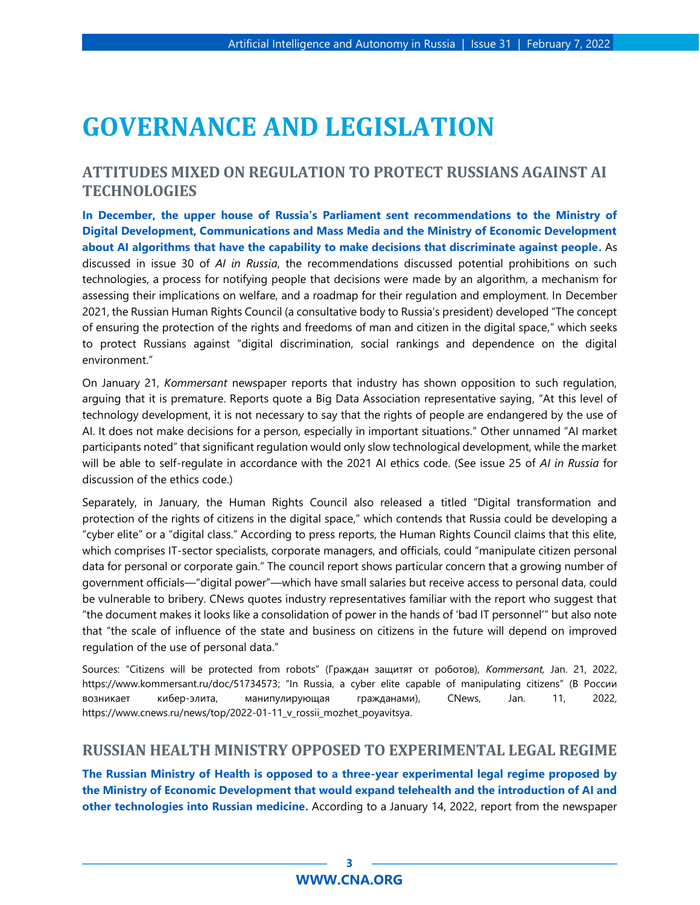# <span id="page-2-0"></span>**GOVERNANCE AND LEGISLATION**

## <span id="page-2-1"></span>**ATTITUDES MIXED ON REGULATION TO PROTECT RUSSIANS AGAINST AI TECHNOLOGIES**

**In December, the upper house of Russia's Parliament sent recommendations to the Ministry of Digital Development, Communications and Mass Media and the Ministry of Economic Development about AI algorithms that have the capability to make decisions that discriminate against people.** As discussed in issue 30 of *AI in Russia*, the recommendations discussed potential prohibitions on such technologies, a process for notifying people that decisions were made by an algorithm, a mechanism for assessing their implications on welfare, and a roadmap for their regulation and employment. In December 2021, the Russian Human Rights Council (a consultative body to Russia's president) developed "The concept of ensuring the protection of the rights and freedoms of man and citizen in the digital space," which seeks to protect Russians against "digital discrimination, social rankings and dependence on the digital environment."

On January 21, *Kommersant* newspaper reports that industry has shown opposition to such regulation, arguing that it is premature. Reports quote a Big Data Association representative saying, "At this level of technology development, it is not necessary to say that the rights of people are endangered by the use of AI. It does not make decisions for a person, especially in important situations." Other unnamed "AI market participants noted" that significant regulation would only slow technological development, while the market will be able to self-regulate in accordance with the 2021 AI ethics code. (See issue 25 of *AI in Russia* for discussion of the ethics code.)

Separately, in January, the Human Rights Council also released a titled "Digital transformation and protection of the rights of citizens in the digital space," which contends that Russia could be developing a "cyber elite" or a "digital class." According to press reports, the Human Rights Council claims that this elite, which comprises IT-sector specialists, corporate managers, and officials, could "manipulate citizen personal data for personal or corporate gain." The council report shows particular concern that a growing number of government officials—"digital power"—which have small salaries but receive access to personal data, could be vulnerable to bribery. CNews quotes industry representatives familiar with the report who suggest that "the document makes it looks like a consolidation of power in the hands of 'bad IT personnel'" but also note that "the scale of influence of the state and business on citizens in the future will depend on improved regulation of the use of personal data."

Sources: "Citizens will be protected from robots" (Граждан защитят от роботов), *Kommersant,* Jan. 21, 2022, https://www.kommersant.ru/doc/51734573; "In Russia, a cyber elite capable of manipulating citizens" (В России возникает кибер-элита, манипулирующая гражданами), CNews, Jan. 11, 2022, https://www.cnews.ru/news/top/2022-01-11\_v\_rossii\_mozhet\_poyavitsya.

#### <span id="page-2-2"></span>**RUSSIAN HEALTH MINISTRY OPPOSED TO EXPERIMENTAL LEGAL REGIME**

**The Russian Ministry of Health is opposed to a three-year experimental legal regime proposed by the Ministry of Economic Development that would expand telehealth and the introduction of AI and other technologies into Russian medicine.** According to a January 14, 2022, report from the newspaper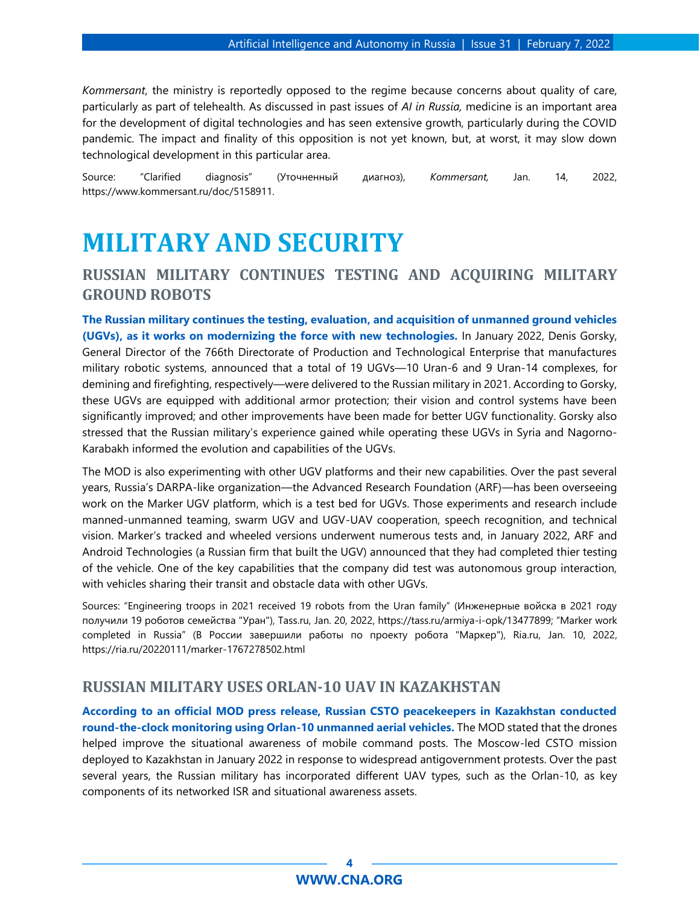*Kommersant*, the ministry is reportedly opposed to the regime because concerns about quality of care, particularly as part of telehealth. As discussed in past issues of *AI in Russia,* medicine is an important area for the development of digital technologies and has seen extensive growth, particularly during the COVID pandemic. The impact and finality of this opposition is not yet known, but, at worst, it may slow down technological development in this particular area.

Source: "Clarified diagnosis" (Уточненный диагноз), *Kommersant,* Jan. 14, 2022, https://www.kommersant.ru/doc/5158911.

## <span id="page-3-0"></span>**MILITARY AND SECURITY**

### **RUSSIAN MILITARY CONTINUES TESTING AND ACQUIRING MILITARY GROUND ROBOTS**

**The Russian military continues the testing, evaluation, and acquisition of unmanned ground vehicles (UGVs), as it works on modernizing the force with new technologies.** In January 2022, Denis Gorsky, General Director of the 766th Directorate of Production and Technological Enterprise that manufactures military robotic systems, announced that a total of 19 UGVs—10 Uran-6 and 9 Uran-14 complexes, for demining and firefighting, respectively—were delivered to the Russian military in 2021. According to Gorsky, these UGVs are equipped with additional armor protection; their vision and control systems have been significantly improved; and other improvements have been made for better UGV functionality. Gorsky also stressed that the Russian military's experience gained while operating these UGVs in Syria and Nagorno-Karabakh informed the evolution and capabilities of the UGVs.

The MOD is also experimenting with other UGV platforms and their new capabilities. Over the past several years, Russia's DARPA-like organization—the Advanced Research Foundation (ARF)—has been overseeing work on the Marker UGV platform, which is a test bed for UGVs. Those experiments and research include manned-unmanned teaming, swarm UGV and UGV-UAV cooperation, speech recognition, and technical vision. Marker's tracked and wheeled versions underwent numerous tests and, in January 2022, ARF and Android Technologies (a Russian firm that built the UGV) announced that they had completed thier testing of the vehicle. One of the key capabilities that the company did test was autonomous group interaction, with vehicles sharing their transit and obstacle data with other UGVs.

Sources: "Engineering troops in 2021 received 19 robots from the Uran family" (Инженерные войска в 2021 году получили 19 роботов семейства "Уран"), Tass.ru, Jan. 20, 2022, <https://tass.ru/armiya-i-opk/13477899>; "Marker work completed in Russia" (В России завершили работы по проекту робота "Маркер"), Ria.ru, Jan. 10, 2022, <https://ria.ru/20220111/marker-1767278502.html>

#### <span id="page-3-1"></span>**RUSSIAN MILITARY USES ORLAN-10 UAV IN KAZAKHSTAN**

**According to an official MOD press release, Russian CSTO peacekeepers in Kazakhstan conducted round-the-clock monitoring using Orlan-10 unmanned aerial vehicles.** The MOD stated that the drones helped improve the situational awareness of mobile command posts. The Moscow-led CSTO mission deployed to Kazakhstan in January 2022 in response to widespread antigovernment protests. Over the past several years, the Russian military has incorporated different UAV types, such as the Orlan-10, as key components of its networked ISR and situational awareness assets.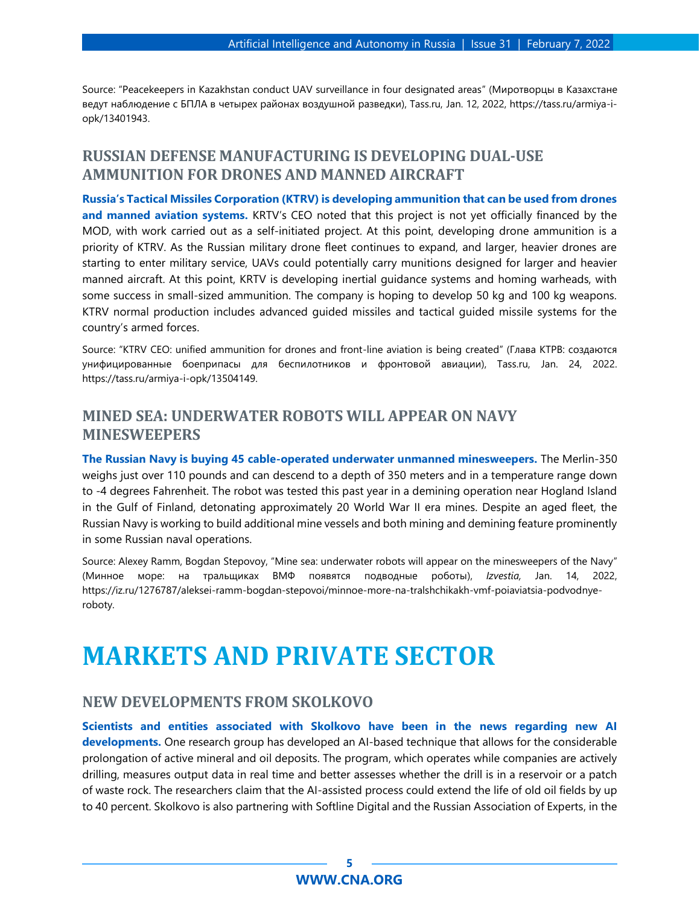Source: "Peacekeepers in Kazakhstan conduct UAV surveillance in four designated areas" (Миротворцы в Казахстане ведут наблюдение с БПЛА в четырех районах воздушной разведки), Tass.ru, Jan. 12, 2022, [https://tass.ru/armiya-i](https://tass.ru/armiya-i-opk/13401943)[opk/13401943.](https://tass.ru/armiya-i-opk/13401943)

## <span id="page-4-0"></span>**RUSSIAN DEFENSE MANUFACTURING IS DEVELOPING DUAL-USE AMMUNITION FOR DRONES AND MANNED AIRCRAFT**

**Russia's Tactical Missiles Corporation (KTRV) is developing ammunition that can be used from drones and manned aviation systems.** KRTV's CEO noted that this project is not yet officially financed by the MOD, with work carried out as a self-initiated project. At this point, developing drone ammunition is a priority of KTRV. As the Russian military drone fleet continues to expand, and larger, heavier drones are starting to enter military service, UAVs could potentially carry munitions designed for larger and heavier manned aircraft. At this point, KRTV is developing inertial guidance systems and homing warheads, with some success in small-sized ammunition. The company is hoping to develop 50 kg and 100 kg weapons. KTRV normal production includes advanced guided missiles and tactical guided missile systems for the country's armed forces.

Source: "KTRV CEO: unified ammunition for drones and front-line aviation is being created" (Глава КТРВ: создаются унифицированные боеприпасы для беспилотников и фронтовой авиации), Tass.ru, Jan. 24, 2022. https://tass.ru/armiya-i-opk/13504149.

## <span id="page-4-1"></span>**MINED SEA: UNDERWATER ROBOTS WILL APPEAR ON NAVY MINESWEEPERS**

**The Russian Navy is buying 45 cable-operated underwater unmanned minesweepers.** The Merlin-350 weighs just over 110 pounds and can descend to a depth of 350 meters and in a temperature range down to -4 degrees Fahrenheit. The robot was tested this past year in a demining operation near Hogland Island in the Gulf of Finland, detonating approximately 20 World War II era mines. Despite an aged fleet, the Russian Navy is working to build additional mine vessels and both mining and demining feature prominently in some Russian naval operations.

Source: Alexey Ramm, Bogdan Stepovoy, "Mine sea: underwater robots will appear on the minesweepers of the Navy" (Минное море: на тральщиках ВМФ появятся подводные роботы), *Izvestia,* Jan. 14, 2022, [https://iz.ru/1276787/aleksei-ramm-bogdan-stepovoi/minnoe-more-na-tralshchikakh-vmf-poiaviatsia-podvodnye](https://iz.ru/1276787/aleksei-ramm-bogdan-stepovoi/minnoe-more-na-tralshchikakh-vmf-poiaviatsia-podvodnye-roboty)[roboty.](https://iz.ru/1276787/aleksei-ramm-bogdan-stepovoi/minnoe-more-na-tralshchikakh-vmf-poiaviatsia-podvodnye-roboty)

## <span id="page-4-2"></span>**MARKETS AND PRIVATE SECTOR**

#### <span id="page-4-3"></span>**NEW DEVELOPMENTS FROM SKOLKOVO**

**Scientists and entities associated with Skolkovo have been in the news regarding new AI developments.** One research group has developed an AI-based technique that allows for the considerable prolongation of active mineral and oil deposits. The program, which operates while companies are actively drilling, measures output data in real time and better assesses whether the drill is in a reservoir or a patch of waste rock. The researchers claim that the AI-assisted process could extend the life of old oil fields by up to 40 percent. Skolkovo is also partnering with Softline Digital and the Russian Association of Experts, in the

#### **5 [WWW.CNA.ORG](http://www.cna.org/)**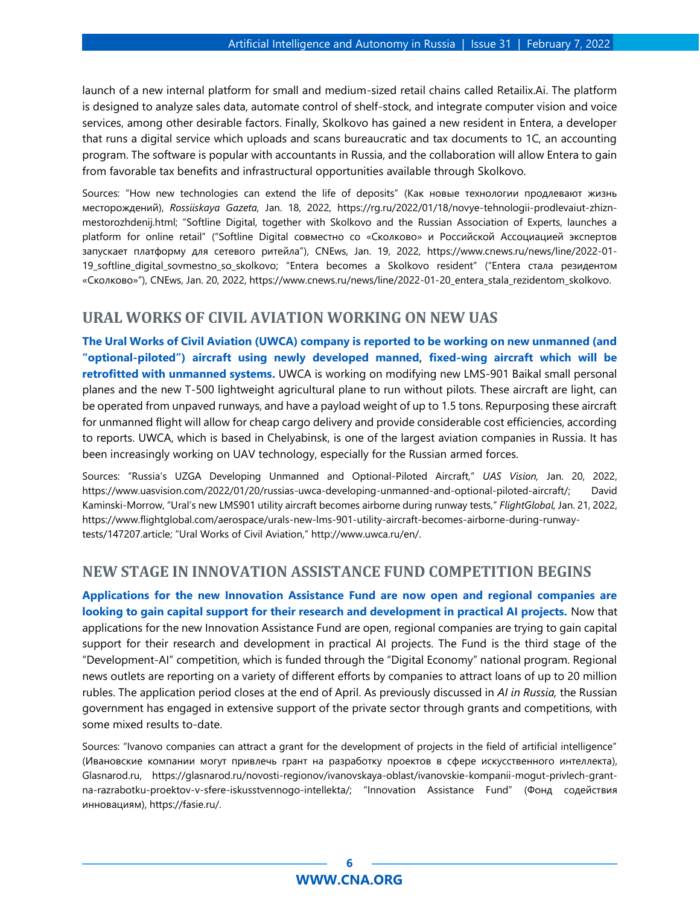launch of a new internal platform for small and medium-sized retail chains called Retailix.Ai. The platform is designed to analyze sales data, automate control of shelf-stock, and integrate computer vision and voice services, among other desirable factors. Finally, Skolkovo has gained a new resident in Entera, a developer that runs a digital service which uploads and scans bureaucratic and tax documents to 1C, an accounting program. The software is popular with accountants in Russia, and the collaboration will allow Entera to gain from favorable tax benefits and infrastructural opportunities available through Skolkovo.

Sources: "How new technologies can extend the life of deposits" (Как новые технологии продлевают жизнь месторождений), *Rossiiskaya Gazeta,* Jan. 18, 2022, https://rg.ru/2022/01/18/novye-tehnologii-prodlevaiut-zhiznmestorozhdenij.html; "Softline Digital, together with Skolkovo and the Russian Association of Experts, launches a platform for online retail" ("Softline Digital совместно со «Сколково» и Российской Ассоциацией экспертов запускает платформу для сетевого ритейла"), CNEws, Jan. 19, 2022, [https://www.cnews.ru/news/line/2022-01-](https://www.cnews.ru/news/line/2022-01-19_softline_digital_sovmestno_so_skolkovo) [19\\_softline\\_digital\\_sovmestno\\_so\\_skolkovo](https://www.cnews.ru/news/line/2022-01-19_softline_digital_sovmestno_so_skolkovo); "Entera becomes a Skolkovo resident" ("Entera стала резидентом «Сколково»"), CNEws, Jan. 20, 2022, https://www.cnews.ru/news/line/2022-01-20\_entera\_stala\_rezidentom\_skolkovo.

#### <span id="page-5-0"></span>**URAL WORKS OF CIVIL AVIATION WORKING ON NEW UAS**

**The Ural Works of Civil Aviation (UWCA) company is reported to be working on new unmanned (and "optional-piloted") aircraft using newly developed manned, fixed-wing aircraft which will be retrofitted with unmanned systems.** UWCA is working on modifying new LMS-901 Baikal small personal planes and the new T-500 lightweight agricultural plane to run without pilots. These aircraft are light, can be operated from unpaved runways, and have a payload weight of up to 1.5 tons. Repurposing these aircraft for unmanned flight will allow for cheap cargo delivery and provide considerable cost efficiencies, according to reports. UWCA, which is based in Chelyabinsk, is one of the largest aviation companies in Russia. It has been increasingly working on UAV technology, especially for the Russian armed forces.

Sources: "Russia's UZGA Developing Unmanned and Optional-Piloted Aircraft," *UAS Vision,* Jan. 20, 2022, https://www.uasvision.com/2022/01/20/russias-uwca-developing-unmanned-and-optional-piloted-aircraft/; David Kaminski-Morrow, "Ural's new LMS901 utility aircraft becomes airborne during runway tests," *FlightGlobal,* Jan. 21, 2022, https://www.flightglobal.com/aerospace/urals-new-lms-901-utility-aircraft-becomes-airborne-during-runwaytests/147207.article; "Ural Works of Civil Aviation," http://www.uwca.ru/en/.

#### <span id="page-5-1"></span>**NEW STAGE IN INNOVATION ASSISTANCE FUND COMPETITION BEGINS**

**Applications for the new Innovation Assistance Fund are now open and regional companies are looking to gain capital support for their research and development in practical AI projects.** Now that applications for the new Innovation Assistance Fund are open, regional companies are trying to gain capital support for their research and development in practical AI projects. The Fund is the third stage of the "Development-AI" competition, which is funded through the "Digital Economy" national program. Regional news outlets are reporting on a variety of different efforts by companies to attract loans of up to 20 million rubles. The application period closes at the end of April. As previously discussed in *AI in Russia,* the Russian government has engaged in extensive support of the private sector through grants and competitions, with some mixed results to-date.

Sources: "Ivanovo companies can attract a grant for the development of projects in the field of artificial intelligence" (Ивановские компании могут привлечь грант на разработку проектов в сфере искусственного интеллекта), Glasnarod.ru, https://glasnarod.ru/novosti-regionov/ivanovskaya-oblast/ivanovskie-kompanii-mogut-privlech-grantna-razrabotku-proektov-v-sfere-iskusstvennogo-intellekta/; "Innovation Assistance Fund" (Фонд содействия инновациям), https://fasie.ru/.

#### **6 [WWW.CNA.ORG](http://www.cna.org/)**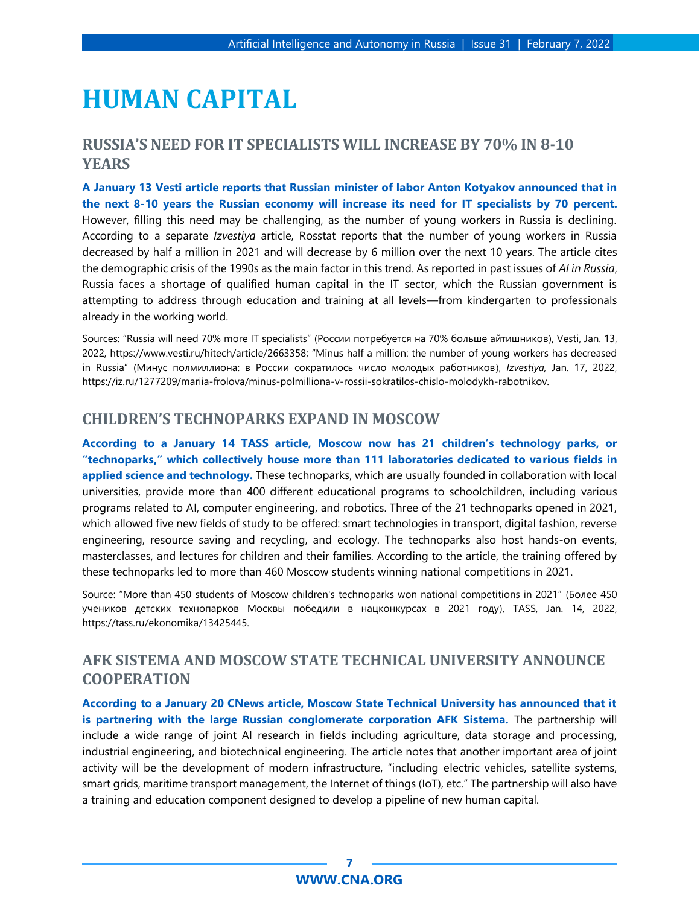## <span id="page-6-0"></span>**HUMAN CAPITAL**

### <span id="page-6-1"></span>**RUSSIA'S NEED FOR IT SPECIALISTS WILL INCREASE BY 70% IN 8-10 YEARS**

**A January 13 Vesti article reports that Russian minister of labor Anton Kotyakov announced that in the next 8-10 years the Russian economy will increase its need for IT specialists by 70 percent.** However, filling this need may be challenging, as the number of young workers in Russia is declining. According to a separate *Izvestiya* article, Rosstat reports that the number of young workers in Russia decreased by half a million in 2021 and will decrease by 6 million over the next 10 years. The article cites the demographic crisis of the 1990s as the main factor in this trend. As reported in past issues of *AI in Russia*, Russia faces a shortage of qualified human capital in the IT sector, which the Russian government is attempting to address through education and training at all levels—from kindergarten to professionals already in the working world.

Sources: "Russia will need 70% more IT specialists" (России потребуется на 70% больше айтишников), Vesti, Jan. 13, 2022, https://www.vesti.ru/hitech/article/2663358; "Minus half a million: the number of young workers has decreased in Russia" (Минус полмиллиона: в России сократилось число молодых работников), *Izvestiya,* Jan. 17, 2022, https://iz.ru/1277209/mariia-frolova/minus-polmilliona-v-rossii-sokratilos-chislo-molodykh-rabotnikov.

#### <span id="page-6-2"></span>**CHILDREN'S TECHNOPARKS EXPAND IN MOSCOW**

**According to a January 14 TASS article, Moscow now has 21 children's technology parks, or "technoparks," which collectively house more than 111 laboratories dedicated to various fields in applied science and technology.** These technoparks, which are usually founded in collaboration with local universities, provide more than 400 different educational programs to schoolchildren, including various programs related to AI, computer engineering, and robotics. Three of the 21 technoparks opened in 2021, which allowed five new fields of study to be offered: smart technologies in transport, digital fashion, reverse engineering, resource saving and recycling, and ecology. The technoparks also host hands-on events, masterclasses, and lectures for children and their families. According to the article, the training offered by these technoparks led to more than 460 Moscow students winning national competitions in 2021.

Source: "More than 450 students of Moscow children's technoparks won national competitions in 2021" (Более 450 учеников детских технопарков Москвы победили в нацконкурсах в 2021 году), TASS, Jan. 14, 2022, https://tass.ru/ekonomika/13425445.

## <span id="page-6-3"></span>**AFK SISTEMA AND MOSCOW STATE TECHNICAL UNIVERSITY ANNOUNCE COOPERATION**

**According to a January 20 CNews article, Moscow State Technical University has announced that it is partnering with the large Russian conglomerate corporation AFK Sistema.** The partnership will include a wide range of joint AI research in fields including agriculture, data storage and processing, industrial engineering, and biotechnical engineering. The article notes that another important area of joint activity will be the development of modern infrastructure, "including electric vehicles, satellite systems, smart grids, maritime transport management, the Internet of things (IoT), etc." The partnership will also have a training and education component designed to develop a pipeline of new human capital.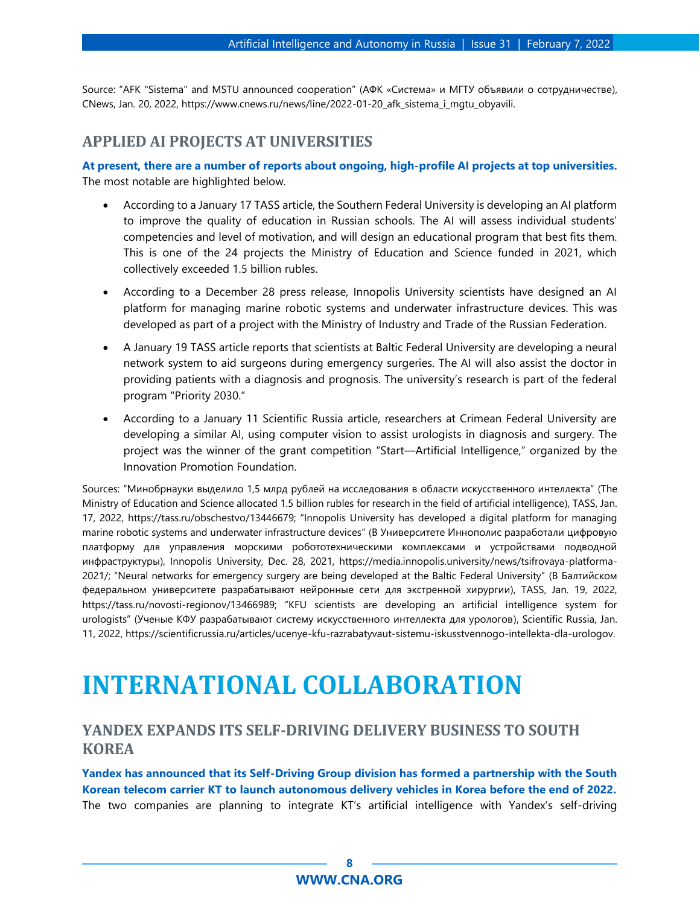Source: "AFK "Sistema" and MSTU announced cooperation" (АФК «Система» и МГТУ объявили о сотрудничестве), CNews, Jan. 20, 2022, https://www.cnews.ru/news/line/2022-01-20\_afk\_sistema\_i\_mgtu\_obyavili.

#### <span id="page-7-0"></span>**APPLIED AI PROJECTS AT UNIVERSITIES**

**At present, there are a number of reports about ongoing, high-profile AI projects at top universities.** The most notable are highlighted below.

- According to a January 17 TASS article, the Southern Federal University is developing an AI platform to improve the quality of education in Russian schools. The AI will assess individual students' competencies and level of motivation, and will design an educational program that best fits them. This is one of the 24 projects the Ministry of Education and Science funded in 2021, which collectively exceeded 1.5 billion rubles.
- According to a December 28 press release, Innopolis University scientists have designed an AI platform for managing marine robotic systems and underwater infrastructure devices. This was developed as part of a project with the Ministry of Industry and Trade of the Russian Federation.
- A January 19 TASS article reports that scientists at Baltic Federal University are developing a neural network system to aid surgeons during emergency surgeries. The AI will also assist the doctor in providing patients with a diagnosis and prognosis. The university's research is part of the federal program "Priority 2030."
- According to a January 11 Scientific Russia article, researchers at Crimean Federal University are developing a similar AI, using computer vision to assist urologists in diagnosis and surgery. The project was the winner of the grant competition "Start—Artificial Intelligence," organized by the Innovation Promotion Foundation.

Sources: "Минобрнауки выделило 1,5 млрд рублей на исследования в области искусственного интеллекта" (The Ministry of Education and Science allocated 1.5 billion rubles for research in the field of artificial intelligence), TASS, Jan. 17, 2022, https://tass.ru/obschestvo/13446679; "Innopolis University has developed a digital platform for managing marine robotic systems and underwater infrastructure devices" (В Университете Иннополис разработали цифровую платформу для управления морскими робототехническими комплексами и устройствами подводной инфраструктуры), Innopolis University, Dec. 28, 2021, https://media.innopolis.university/news/tsifrovaya-platforma-2021/; "Neural networks for emergency surgery are being developed at the Baltic Federal University" (В Балтийском федеральном университете разрабатывают нейронные сети для экстренной хирургии), TASS, Jan. 19, 2022, https://tass.ru/novosti-regionov/13466989; "KFU scientists are developing an artificial intelligence system for urologists" (Ученые КФУ разрабатывают систему искусственного интеллекта для урологов), Scientific Russia, Jan. 11, 2022, https://scientificrussia.ru/articles/ucenye-kfu-razrabatyvaut-sistemu-iskusstvennogo-intellekta-dla-urologov.

## <span id="page-7-1"></span>**INTERNATIONAL COLLABORATION**

### <span id="page-7-2"></span>**YANDEX EXPANDS ITS SELF-DRIVING DELIVERY BUSINESS TO SOUTH KOREA**

**Yandex has announced that its Self-Driving Group division has formed a partnership with the South Korean telecom carrier KT to launch autonomous delivery vehicles in Korea before the end of 2022.** The two companies are planning to integrate KT's artificial intelligence with Yandex's self-driving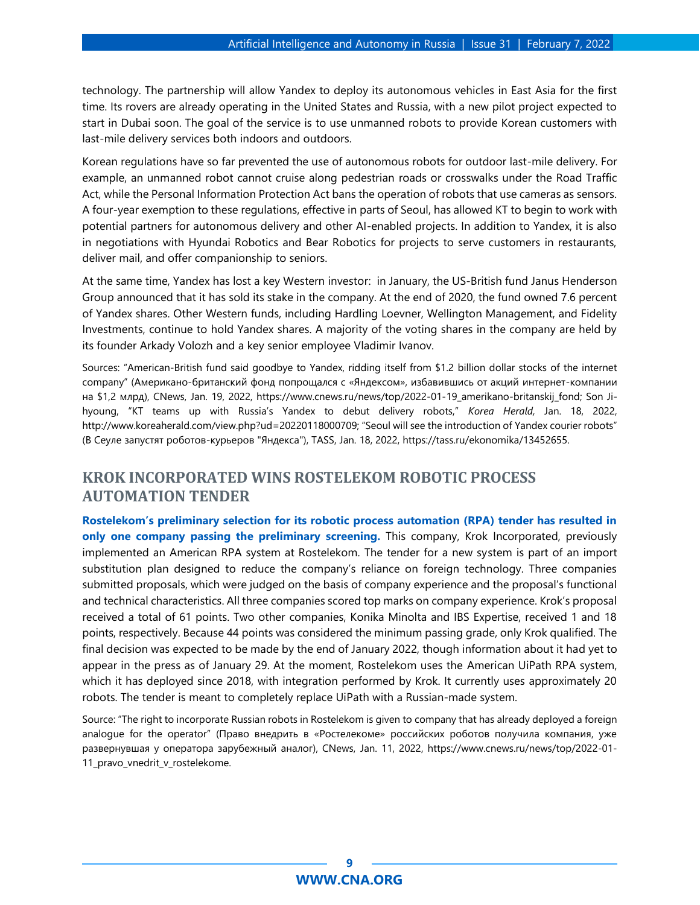technology. The partnership will allow Yandex to deploy its autonomous vehicles in East Asia for the first time. Its rovers are already operating in the United States and Russia, with a new pilot project expected to start in Dubai soon. The goal of the service is to use unmanned robots to provide Korean customers with last-mile delivery services both indoors and outdoors.

Korean regulations have so far prevented the use of autonomous robots for outdoor last-mile delivery. For example, an unmanned robot cannot cruise along pedestrian roads or crosswalks under the Road Traffic Act, while the Personal Information Protection Act bans the operation of robots that use cameras as sensors. A four-year exemption to these regulations, effective in parts of Seoul, has allowed KT to begin to work with potential partners for autonomous delivery and other AI-enabled projects. In addition to Yandex, it is also in negotiations with Hyundai Robotics and Bear Robotics for projects to serve customers in restaurants, deliver mail, and offer companionship to seniors.

At the same time, Yandex has lost a key Western investor: in January, the US-British fund Janus Henderson Group announced that it has sold its stake in the company. At the end of 2020, the fund owned 7.6 percent of Yandex shares. Other Western funds, including Hardling Loevner, Wellington Management, and Fidelity Investments, continue to hold Yandex shares. A majority of the voting shares in the company are held by its founder Arkady Volozh and a key senior employee Vladimir Ivanov.

Sources: "American-British fund said goodbye to Yandex, ridding itself from \$1.2 billion dollar stocks of the internet company" (Американо-британский фонд попрощался с «Яндексом», избавившись от акций интернет-компании на \$1,2 млрд), CNews, Jan. 19, 2022, https://www.cnews.ru/news/top/2022-01-19\_amerikano-britanskij\_fond; Son Jihyoung, "KT teams up with Russia's Yandex to debut delivery robots," *Korea Herald,* Jan. 18, 2022, http://www.koreaherald.com/view.php?ud=20220118000709; "Seoul will see the introduction of Yandex courier robots" (В Сеуле запустят роботов-курьеров "Яндекса"), TASS, Jan. 18, 2022, https://tass.ru/ekonomika/13452655.

## <span id="page-8-0"></span>**KROK INCORPORATED WINS ROSTELEKOM ROBOTIC PROCESS AUTOMATION TENDER**

**Rostelekom's preliminary selection for its robotic process automation (RPA) tender has resulted in only one company passing the preliminary screening.** This company, Krok Incorporated, previously implemented an American RPA system at Rostelekom. The tender for a new system is part of an import substitution plan designed to reduce the company's reliance on foreign technology. Three companies submitted proposals, which were judged on the basis of company experience and the proposal's functional and technical characteristics. All three companies scored top marks on company experience. Krok's proposal received a total of 61 points. Two other companies, Konika Minolta and IBS Expertise, received 1 and 18 points, respectively. Because 44 points was considered the minimum passing grade, only Krok qualified. The final decision was expected to be made by the end of January 2022, though information about it had yet to appear in the press as of January 29. At the moment, Rostelekom uses the American UiPath RPA system, which it has deployed since 2018, with integration performed by Krok. It currently uses approximately 20 robots. The tender is meant to completely replace UiPath with a Russian-made system.

Source: "The right to incorporate Russian robots in Rostelekom is given to company that has already deployed a foreign analogue for the operator" (Право внедрить в «Ростелекоме» российских роботов получила компания, уже развернувшая у оператора зарубежный аналог), CNews, Jan. 11, 2022, https://www.cnews.ru/news/top/2022-01- 11 pravo vnedrit v rostelekome.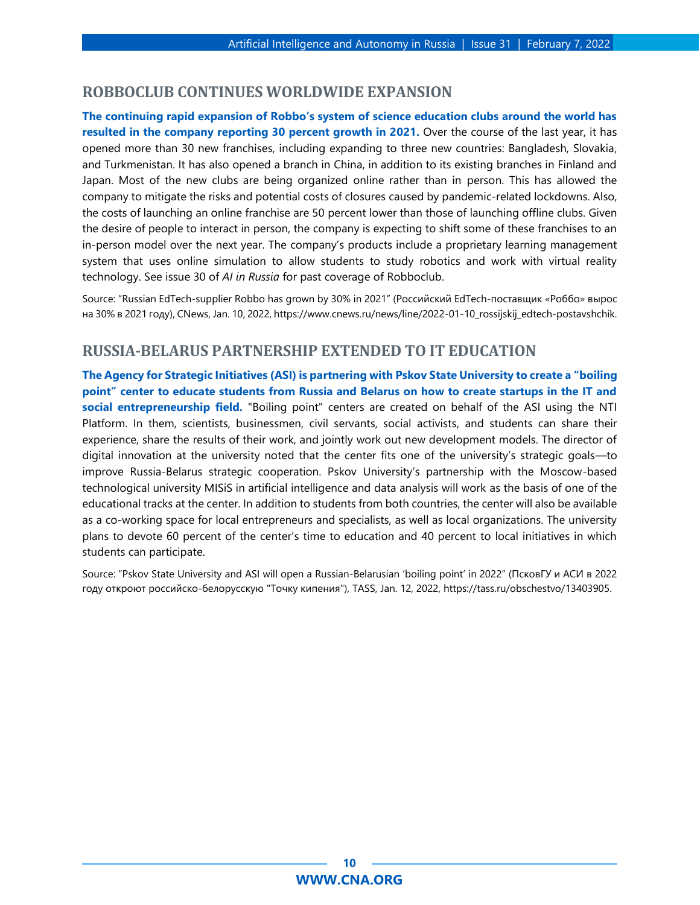#### <span id="page-9-0"></span>**ROBBOCLUB CONTINUES WORLDWIDE EXPANSION**

**The continuing rapid expansion of Robbo's system of science education clubs around the world has resulted in the company reporting 30 percent growth in 2021.** Over the course of the last year, it has opened more than 30 new franchises, including expanding to three new countries: Bangladesh, Slovakia, and Turkmenistan. It has also opened a branch in China, in addition to its existing branches in Finland and Japan. Most of the new clubs are being organized online rather than in person. This has allowed the company to mitigate the risks and potential costs of closures caused by pandemic-related lockdowns. Also, the costs of launching an online franchise are 50 percent lower than those of launching offline clubs. Given the desire of people to interact in person, the company is expecting to shift some of these franchises to an in-person model over the next year. The company's products include a proprietary learning management system that uses online simulation to allow students to study robotics and work with virtual reality technology. See issue 30 of *AI in Russia* for past coverage of Robboclub.

Source: "Russian EdTech-supplier Robbo has grown by 30% in 2021" (Российский EdTech-поставщик «Роббо» вырос на 30% в 2021 году), CNews, Jan. 10, 2022, https://www.cnews.ru/news/line/2022-01-10\_rossijskij\_edtech-postavshchik.

### <span id="page-9-1"></span>**RUSSIA-BELARUS PARTNERSHIP EXTENDED TO IT EDUCATION**

**The Agency for Strategic Initiatives (ASI) is partnering with Pskov State University to create a "boiling point" center to educate students from Russia and Belarus on how to create startups in the IT and social entrepreneurship field.** "Boiling point" centers are created on behalf of the ASI using the NTI Platform. In them, scientists, businessmen, civil servants, social activists, and students can share their experience, share the results of their work, and jointly work out new development models. The director of digital innovation at the university noted that the center fits one of the university's strategic goals—to improve Russia-Belarus strategic cooperation. Pskov University's partnership with the Moscow-based technological university MISiS in artificial intelligence and data analysis will work as the basis of one of the educational tracks at the center. In addition to students from both countries, the center will also be available as a co-working space for local entrepreneurs and specialists, as well as local organizations. The university plans to devote 60 percent of the center's time to education and 40 percent to local initiatives in which students can participate.

Source: "Pskov State University and ASI will open a Russian-Belarusian 'boiling point' in 2022" (ПсковГУ и АСИ в 2022 году откроют российско-белорусскую "Точку кипения"), TASS, Jan. 12, 2022, https://tass.ru/obschestvo/13403905.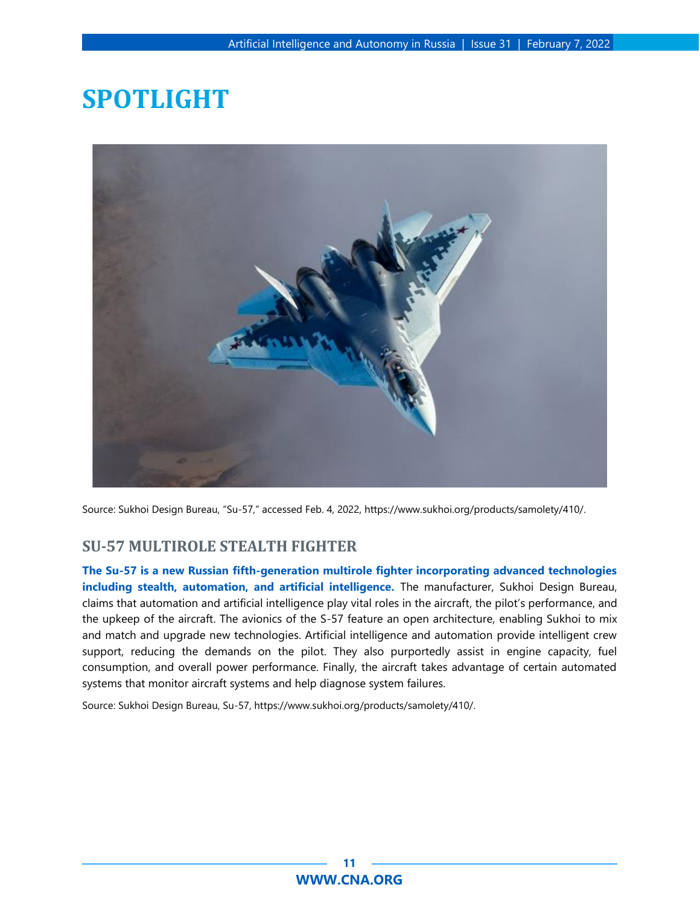## <span id="page-10-0"></span>**SPOTLIGHT**



<span id="page-10-1"></span>Source: Sukhoi Design Bureau, "Su-57," accessed Feb. 4, 2022, https://www.sukhoi.org/products/samolety/410/.

### **SU-57 MULTIROLE STEALTH FIGHTER**

**The Su-57 is a new Russian fifth-generation multirole fighter incorporating advanced technologies including stealth, automation, and artificial intelligence.** The manufacturer, Sukhoi Design Bureau, claims that automation and artificial intelligence play vital roles in the aircraft, the pilot's performance, and the upkeep of the aircraft. The avionics of the S-57 feature an open architecture, enabling Sukhoi to mix and match and upgrade new technologies. Artificial intelligence and automation provide intelligent crew support, reducing the demands on the pilot. They also purportedly assist in engine capacity, fuel consumption, and overall power performance. Finally, the aircraft takes advantage of certain automated systems that monitor aircraft systems and help diagnose system failures.

Source: Sukhoi Design Bureau, Su-57, https://www.sukhoi.org/products/samolety/410/.